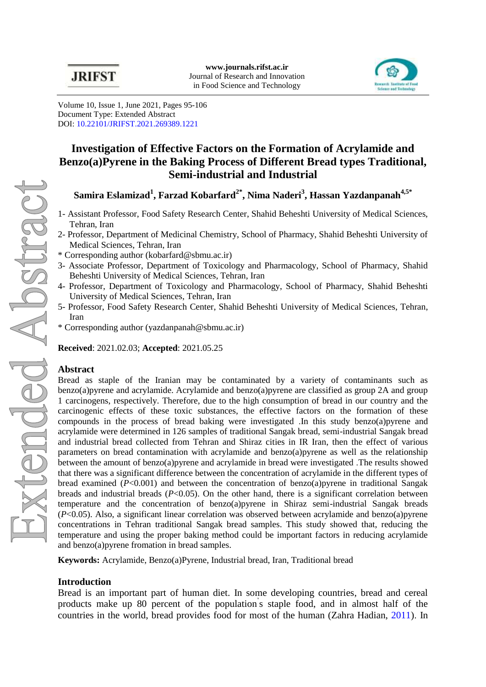

Volume 10, Issue 1, June 2021, Pages 95-106 Document Type: Extended Abstract DOI: [10.22101/JRIFST.2021.269389.1221](https://dx.doi.org/10.22101/JRIFST.2021.269389.1221)

# **Investigation of Effective Factors on the Formation of Acrylamide and Benzo(a)Pyrene in the Baking Process of Different Bread types Traditional, Semi-industrial and Industrial**

**Samira Eslamizad<sup>1</sup> , Farzad Kobarfard2\*, Nima Naderi<sup>3</sup> , Hassan Yazdanpanah4,5\***

- 1- Assistant Professor, Food Safety Research Center, Shahid Beheshti University of Medical Sciences, Tehran, Iran
- 2- Professor, Department of Medicinal Chemistry, School of Pharmacy, Shahid Beheshti University of Medical Sciences, Tehran, Iran
- \* Corresponding author (kobarfard@sbmu.ac.ir)
- 3- Associate Professor, Department of Toxicology and Pharmacology, School of Pharmacy, Shahid Beheshti University of Medical Sciences, Tehran, Iran
- 4- Professor, Department of Toxicology and Pharmacology, School of Pharmacy, Shahid Beheshti University of Medical Sciences, Tehran, Iran
- 5- Professor, Food Safety Research Center, Shahid Beheshti University of Medical Sciences, Tehran, Iran
- \* Corresponding author (yazdanpanah@sbmu.ac.ir)

**Received**: 2021.02.03; **Accepted**: 2021.05.25

### **Abstract**

Bread as staple of the Iranian may be contaminated by a variety of contaminants such as benzo(a)pyrene and acrylamide. Acrylamide and benzo(a)pyrene are classified as group 2A and group 1 carcinogens, respectively. Therefore, due to the high consumption of bread in our country and the carcinogenic effects of these toxic substances, the effective factors on the formation of these compounds in the process of bread baking were investigated .In this study benzo(a)pyrene and acrylamide were determined in 126 samples of traditional Sangak bread, semi-industrial Sangak bread and industrial bread collected from Tehran and Shiraz cities in IR Iran, then the effect of various parameters on bread contamination with acrylamide and benzo(a)pyrene as well as the relationship between the amount of benzo(a)pyrene and acrylamide in bread were investigated .The results showed that there was a significant difference between the concentration of acrylamide in the different types of bread examined  $(P<0.001)$  and between the concentration of benzo(a)pyrene in traditional Sangak breads and industrial breads  $(P<0.05)$ . On the other hand, there is a significant correlation between temperature and the concentration of benzo(a)pyrene in Shiraz semi-industrial Sangak breads (*P*<0.05). Also, a significant linear correlation was observed between acrylamide and benzo(a)pyrene concentrations in Tehran traditional Sangak bread samples. This study showed that, reducing the temperature and using the proper baking method could be important factors in reducing acrylamide and benzo(a)pyrene fromation in bread samples.

**Keywords:** Acrylamide, Benzo(a)Pyrene, Industrial bread, Iran, Traditional bread

## **Introduction**

Bread is an important part of human diet. In some developing countries, bread and cereal products make up 80 percent of the population' s staple food, and in almost half of the countries in the world, bread provides food for most of the human [\(Zahra Hadian,](#page-5-0) 2011). In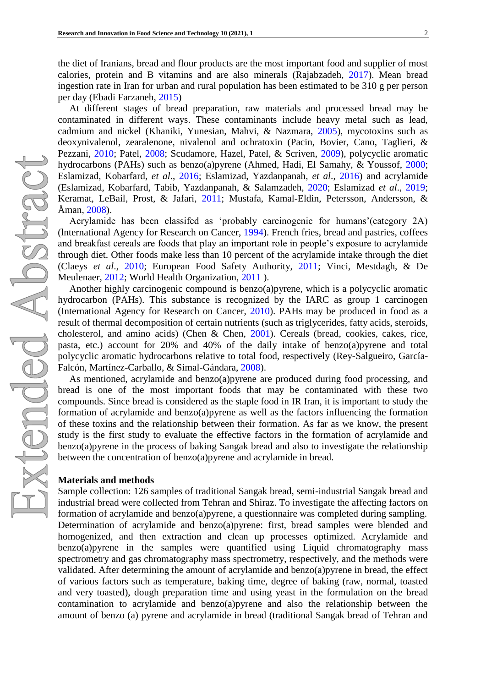the diet of Iranians, bread and flour products are the most important food and supplier of most calories, protein and B vitamins and are also minerals [\(Rajabzadeh, 2017\)](#page-5-1). Mean bread ingestion rate in Iran for urban and rural population has been estimated to be 310 g per person per day [\(Ebadi Farzaneh, 2015\)](#page-4-0)

At different stages of bread preparation, raw materials and processed bread may be contaminated in different ways. These contaminants include heavy metal such as lead, cadmium and nickel [\(Khaniki, Yunesian, Mahvi, & Nazmara,](#page-5-2) 2005), mycotoxins such as deoxynivalenol, zearalenone, nivalenol and ochratoxin (Pacin, Bovier, [Cano, Taglieri, &](#page-5-3) [Pezzani,](#page-5-3) 2010; [Patel, 2008;](#page-5-4) [Scudamore, Hazel, Patel, & Scriven, 2009\)](#page-5-5), polycyclic aromatic hydrocarbons (PAHs) such as benzo(a)pyrene [\(Ahmed, Hadi, El Samahy, & Youssof,](#page-4-1) 2000; [Eslamizad, Kobarfard,](#page-4-2) *et al*., 2016; [Eslamizad, Yazdanpanah,](#page-4-3) *et al*., 2016) and acrylamide [\(Eslamizad, Kobarfard, Tabib, Yazdanpanah, & Salamzadeh,](#page-4-4) 2020; [Eslamizad](#page-4-5) *et al*., 2019; [Keramat, LeBail, Prost, & Jafari, 2011;](#page-4-6) [Mustafa, Kamal-Eldin, Petersson, Andersson, &](#page-5-6)  [Åman,](#page-5-6) 2008).

Acrylamide has been classifed as 'probably carcinogenic for humans'(category 2A) [\(lnternational Agency for Research on Cancer, 1994\)](#page-5-7). French fries, bread and pastries, coffees and breakfast cereals are foods that play an important role in people's exposure to acrylamide through diet. Other foods make less than 10 percent of the acrylamide intake through the diet (Claeys *et al*[., 2010;](#page-4-7) [European Food Safety Authority,](#page-4-8) 2011; [Vinci, Mestdagh, & De](#page-5-8)  [Meulenaer,](#page-5-8) 2012; [World Health Organization,](#page-5-9) 2011 ).

Another highly carcinogenic compound is benzo(a)pyrene, which is a polycyclic aromatic hydrocarbon (PAHs). This substance is recognized by the IARC as group 1 carcinogen [\(International Agency for Research on Cancer,](#page-4-9) 2010). PAHs may be produced in food as a result of thermal decomposition of certain nutrients (such as triglycerides, fatty acids, steroids, cholesterol, and amino acids) [\(Chen & Chen, 2001\)](#page-4-10). Cereals (bread, cookies, cakes, rice, pasta, etc.) account for 20% and 40% of the daily intake of benzo(a)pyrene and total polycyclic aromatic hydrocarbons relative to total food, respectively [\(Rey-Salgueiro, García-](#page-5-10)[Falcón, Martínez-Carballo, & Simal-Gándara,](#page-5-10) 2008).

As mentioned, acrylamide and benzo(a)pyrene are produced during food processing, and bread is one of the most important foods that may be contaminated with these two compounds. Since bread is considered as the staple food in IR Iran, it is important to study the formation of acrylamide and benzo(a)pyrene as well as the factors influencing the formation of these toxins and the relationship between their formation. As far as we know, the present study is the first study to evaluate the effective factors in the formation of acrylamide and benzo(a)pyrene in the process of baking Sangak bread and also to investigate the relationship between the concentration of benzo(a)pyrene and acrylamide in bread.

#### **Materials and methods**

Sample collection: 126 samples of traditional Sangak bread, semi-industrial Sangak bread and industrial bread were collected from Tehran and Shiraz. To investigate the affecting factors on formation of acrylamide and benzo(a)pyrene, a questionnaire was completed during sampling. Determination of acrylamide and benzo(a)pyrene: first, bread samples were blended and homogenized, and then extraction and clean up processes optimized. Acrylamide and benzo(a)pyrene in the samples were quantified using Liquid chromatography mass spectrometry and gas chromatography mass spectrometry, respectively, and the methods were validated. After determining the amount of acrylamide and benzo(a)pyrene in bread, the effect of various factors such as temperature, baking time, degree of baking (raw, normal, toasted and very toasted), dough preparation time and using yeast in the formulation on the bread contamination to acrylamide and benzo(a)pyrene and also the relationship between the amount of benzo (a) pyrene and acrylamide in bread (traditional Sangak bread of Tehran and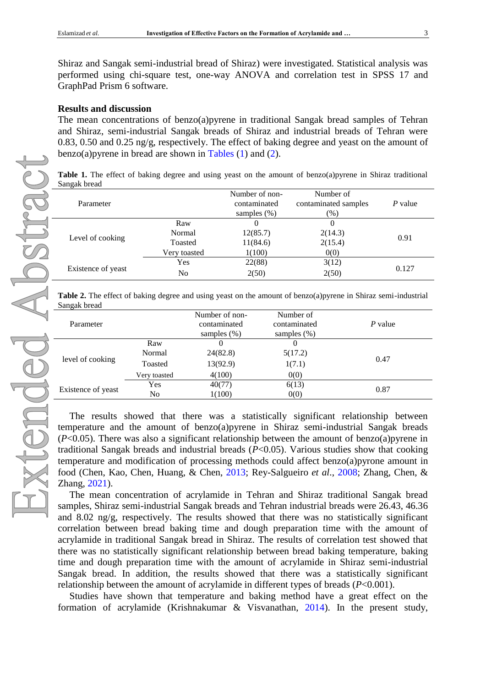Shiraz and Sangak semi-industrial bread of Shiraz) were investigated. Statistical analysis was performed using chi-square test, one-way ANOVA and correlation test in SPSS 17 and GraphPad Prism 6 software.

#### **Results and discussion**

The mean concentrations of benzo(a)pyrene in traditional Sangak bread samples of Tehran and Shiraz, semi-industrial Sangak breads of Shiraz and industrial breads of Tehran were 0.83, 0.50 and 0.25 ng/g, respectively. The effect of baking degree and yeast on the amount of benzo(a) pyrene in bread are shown in Tables  $(1)$  and  $(2)$ .

<span id="page-2-0"></span>**Table 1.** The effect of baking degree and using yeast on the amount of benzo(a)pyrene in Shiraz traditional Sangak bread

| Parameter          |              | Number of non-<br>contaminated<br>samples $(\%)$ | Number of<br>contaminated samples<br>$(\%)$ | P value |  |
|--------------------|--------------|--------------------------------------------------|---------------------------------------------|---------|--|
| Level of cooking   | Raw          |                                                  |                                             | 0.91    |  |
|                    | Normal       | 12(85.7)                                         | 2(14.3)                                     |         |  |
|                    | Toasted      | 11(84.6)                                         | 2(15.4)                                     |         |  |
|                    | Very toasted | 1(100)                                           | 0(0)                                        |         |  |
| Existence of yeast | Yes          | 22(88)                                           | 3(12)                                       | 0.127   |  |
|                    | No           | 2(50)                                            | 2(50)                                       |         |  |

<span id="page-2-1"></span>**Table 2.** The effect of baking degree and using yeast on the amount of benzo(a)pyrene in Shiraz semi-industrial Sangak bread

| Parameter          |               | Number of non-<br>contaminated<br>samples $(\%)$ | Number of<br>contaminated<br>samples $(\%)$ | P value |  |
|--------------------|---------------|--------------------------------------------------|---------------------------------------------|---------|--|
| level of cooking   | Raw<br>Normal | 24(82.8)                                         | $\theta$<br>5(17.2)                         | 0.47    |  |
|                    | Toasted       | 13(92.9)                                         | 1(7.1)                                      |         |  |
|                    | Very toasted  | 4(100)                                           | 0(0)                                        |         |  |
| Existence of yeast | Yes           | 40(77)                                           | 6(13)                                       | 0.87    |  |
|                    | No            | 1(100)                                           | 0(0)                                        |         |  |

The results showed that there was a statistically significant relationship between temperature and the amount of benzo(a)pyrene in Shiraz semi-industrial Sangak breads (*P*<0.05). There was also a significant relationship between the amount of benzo(a)pyrene in traditional Sangak breads and industrial breads (*P*<0.05). Various studies show that cooking temperature and modification of processing methods could affect benzo(a)pyrone amount in food [\(Chen, Kao, Chen, Huang, & Chen, 2013;](#page-4-11) [Rey-Salgueiro](#page-5-10) *et al*., 2008; [Zhang, Chen, &](#page-5-11)  [Zhang,](#page-5-11) 2021).

The mean concentration of acrylamide in Tehran and Shiraz traditional Sangak bread samples, Shiraz semi-industrial Sangak breads and Tehran industrial breads were 26.43, 46.36 and 8.02 ng/g, respectively. The results showed that there was no statistically significant correlation between bread baking time and dough preparation time with the amount of acrylamide in traditional Sangak bread in Shiraz. The results of correlation test showed that there was no statistically significant relationship between bread baking temperature, baking time and dough preparation time with the amount of acrylamide in Shiraz semi-industrial Sangak bread. In addition, the results showed that there was a statistically significant relationship between the amount of acrylamide in different types of breads (*P*<0.001).

Studies have shown that temperature and baking method have a great effect on the formation of acrylamide [\(Krishnakumar & Visvanathan,](#page-5-12) 2014). In the present study,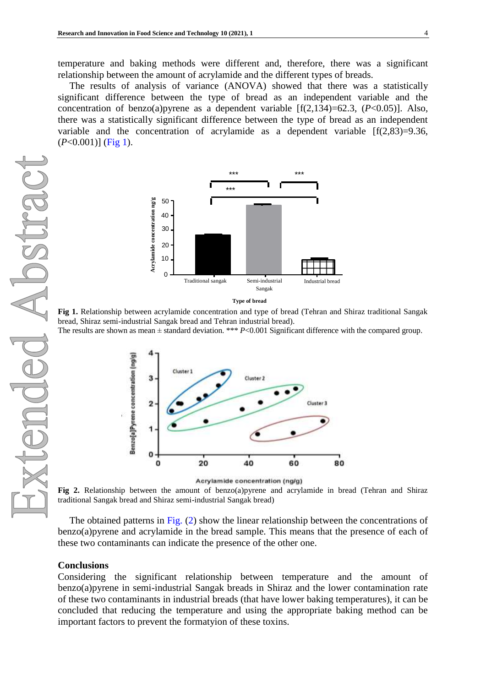temperature and baking methods were different and, therefore, there was a significant relationship between the amount of acrylamide and the different types of breads.

<span id="page-3-0"></span>The results of analysis of variance (ANOVA) showed that there was a statistically significant difference between the type of bread as an independent variable and the concentration of benzo(a)pyrene as a dependent variable [f(2,134)=62.3, (*P*<0.05)]. Also, there was a statistically significant difference between the type of bread as an independent variable and the concentration of acrylamide as a dependent variable  $[f(2,83)=9.36,$ (*P*<0.001)] [\(Fig 1\)](#page-3-0).





**Fig 1.** Relationship between acrylamide concentration and type of bread (Tehran and Shiraz traditional Sangak bread, Shiraz semi-industrial Sangak bread and Tehran industrial bread).

The results are shown as mean  $\pm$  standard deviation. \*\*\* *P*<0.001 Significant difference with the compared group.

<span id="page-3-1"></span>

Acrylamide concentration (ng/g)

**Fig 2.** Relationship between the amount of benzo(a)pyrene and acrylamide in bread (Tehran and Shiraz traditional Sangak bread and Shiraz semi-industrial Sangak bread)

The obtained patterns in [Fig.](#page-3-1) (2) show the linear relationship between the concentrations of benzo(a)pyrene and acrylamide in the bread sample. This means that the presence of each of these two contaminants can indicate the presence of the other one.

#### **Conclusions**

Considering the significant relationship between temperature and the amount of benzo(a)pyrene in semi-industrial Sangak breads in Shiraz and the lower contamination rate of these two contaminants in industrial breads (that have lower baking temperatures), it can be concluded that reducing the temperature and using the appropriate baking method can be important factors to prevent the formatyion of these toxins.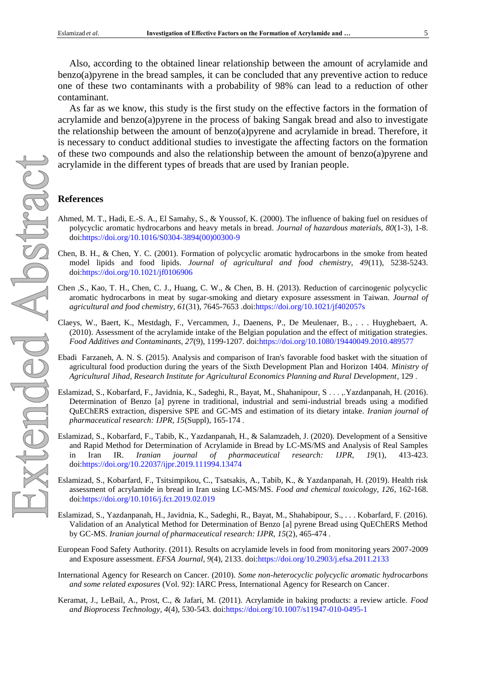Also, according to the obtained linear relationship between the amount of acrylamide and benzo(a)pyrene in the bread samples, it can be concluded that any preventive action to reduce one of these two contaminants with a probability of 98% can lead to a reduction of other contaminant.

As far as we know, this study is the first study on the effective factors in the formation of acrylamide and benzo(a)pyrene in the process of baking Sangak bread and also to investigate the relationship between the amount of benzo(a)pyrene and acrylamide in bread. Therefore, it is necessary to conduct additional studies to investigate the affecting factors on the formation of these two compounds and also the relationship between the amount of benzo(a)pyrene and acrylamide in the different types of breads that are used by Iranian people.

#### **References**

- <span id="page-4-1"></span>Ahmed, M. T., Hadi, E.-S. A., El Samahy, S., & Youssof, K. (2000). The influence of baking fuel on residues of polycyclic aromatic hydrocarbons and heavy metals in bread. *Journal of hazardous materials, 80*(1-3), 1-8. doi[:https://doi.org/10.1016/S0304-3894\(00\)00300-9](https://doi.org/10.1016/S0304-3894(00)00300-9)
- <span id="page-4-10"></span>Chen, B. H., & Chen, Y. C. (2001). Formation of polycyclic aromatic hydrocarbons in the smoke from heated model lipids and food lipids. *Journal of agricultural and food chemistry, 49*(11), 5238-5243. doi[:https://doi.org/10.1021/jf0106906](https://doi.org/10.1021/jf0106906)
- <span id="page-4-11"></span>Chen ,S., Kao, T. H., Chen, C. J., Huang, C. W., & Chen, B. H. (2013). Reduction of carcinogenic polycyclic aromatic hydrocarbons in meat by sugar-smoking and dietary exposure assessment in Taiwan. *Journal of agricultural and food chemistry, 61*(31), 7645-7653 .doi[:https://doi.org/10.1021/jf402057s](https://doi.org/10.1021/jf402057s)
- <span id="page-4-7"></span>Claeys, W., Baert, K., Mestdagh, F., Vercammen, J., Daenens, P., De Meulenaer, B., . . . Huyghebaert, A. (2010). Assessment of the acrylamide intake of the Belgian population and the effect of mitigation strategies. *Food Additives and Contaminants, 27*(9), 1199-1207. doi[:https://doi.org/10.1080/19440049.2010.489577](https://doi.org/10.1080/19440049.2010.489577)
- <span id="page-4-0"></span>Ebadi Farzaneh, A. N. S. (2015). Analysis and comparison of Iran's favorable food basket with the situation of agricultural food production during the years of the Sixth Development Plan and Horizon 1404. *Ministry of Agricultural Jihad, Research Institute for Agricultural Economics Planning and Rural Development*, 129 .
- <span id="page-4-2"></span>Eslamizad, S., Kobarfard, F., Javidnia, K., Sadeghi, R., Bayat, M., Shahanipour, S . . . ,.Yazdanpanah, H. (2016). Determination of Benzo [a] pyrene in traditional, industrial and semi-industrial breads using a modified QuEChERS extraction, dispersive SPE and GC-MS and estimation of its dietary intake. *Iranian journal of pharmaceutical research: IJPR, 15*(Suppl), 165-174 .
- <span id="page-4-4"></span>Eslamizad, S., Kobarfard, F., Tabib, K., Yazdanpanah, H., & Salamzadeh, J. (2020). Development of a Sensitive and Rapid Method for Determination of Acrylamide in Bread by LC-MS/MS and Analysis of Real Samples in Iran IR. *Iranian journal of pharmaceutical research: IJPR, 19*(1), 413-423. doi[:https://doi.org/10.22037/ijpr.2019.111994.13474](https://doi.org/10.22037/ijpr.2019.111994.13474)
- <span id="page-4-5"></span>Eslamizad, S., Kobarfard, F., Tsitsimpikou, C., Tsatsakis, A., Tabib, K., & Yazdanpanah, H. (2019). Health risk assessment of acrylamide in bread in Iran using LC-MS/MS. *Food and chemical toxicology, 126*, 162-168. doi[:https://doi.org/10.1016/j.fct.2019.02.019](https://doi.org/10.1016/j.fct.2019.02.019)
- <span id="page-4-3"></span>Eslamizad, S., Yazdanpanah, H., Javidnia, K., Sadeghi, R., Bayat, M., Shahabipour, S., . . . Kobarfard, F. (2016). Validation of an Analytical Method for Determination of Benzo [a] pyrene Bread using QuEChERS Method by GC-MS. *Iranian journal of pharmaceutical research: IJPR, 15*(2), 465-474 .
- <span id="page-4-8"></span>European Food Safety Authority. (2011). Results on acrylamide levels in food from monitoring years 2007-2009 and Exposure assessment. *EFSA Journal, 9*(4), 2133. doi[:https://doi.org/10.2903/j.efsa.2011.2133](https://doi.org/10.2903/j.efsa.2011.2133)
- <span id="page-4-9"></span>International Agency for Research on Cancer. (2010). *Some non-heterocyclic polycyclic aromatic hydrocarbons and some related exposures* (Vol. 92): IARC Press, International Agency for Research on Cancer.
- <span id="page-4-6"></span>Keramat, J., LeBail, A., Prost, C., & Jafari, M. (2011). Acrylamide in baking products: a review article. *Food and Bioprocess Technology, 4*(4), 530-543. do[i:https://doi.org/10.1007/s11947-010-0495-1](https://doi.org/10.1007/s11947-010-0495-1)